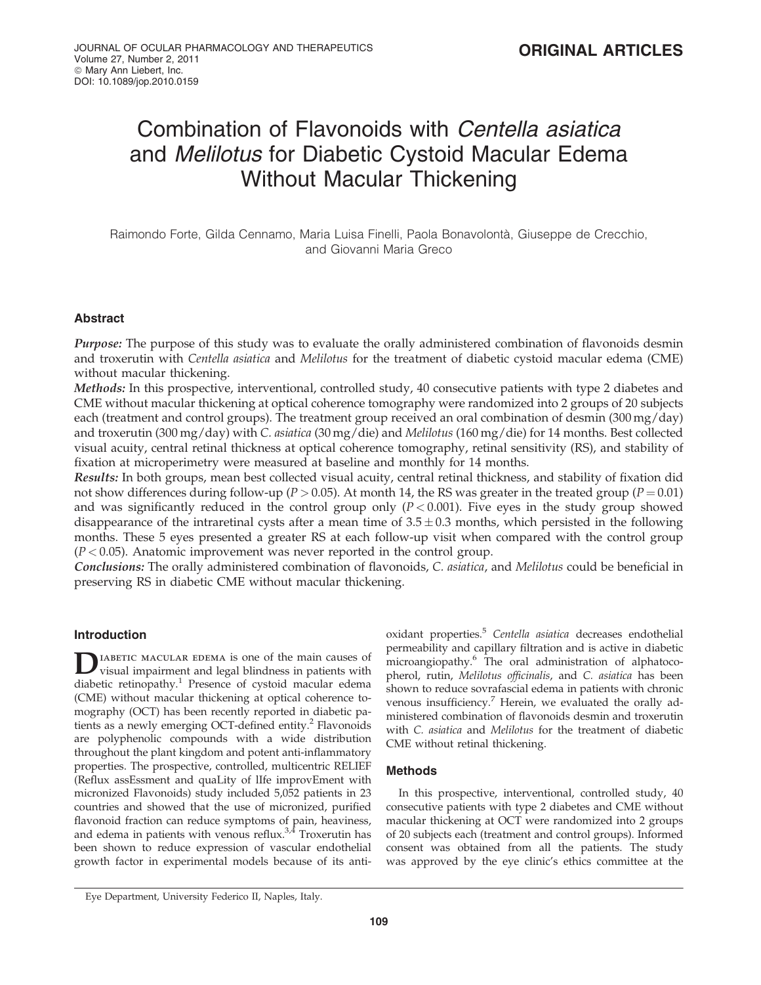# Combination of Flavonoids with Centella asiatica and Melilotus for Diabetic Cystoid Macular Edema Without Macular Thickening

Raimondo Forte, Gilda Cennamo, Maria Luisa Finelli, Paola Bonavolontà, Giuseppe de Crecchio, and Giovanni Maria Greco

## Abstract

Purpose: The purpose of this study was to evaluate the orally administered combination of flavonoids desmin and troxerutin with Centella asiatica and Melilotus for the treatment of diabetic cystoid macular edema (CME) without macular thickening.

Methods: In this prospective, interventional, controlled study, 40 consecutive patients with type 2 diabetes and CME without macular thickening at optical coherence tomography were randomized into 2 groups of 20 subjects each (treatment and control groups). The treatment group received an oral combination of desmin (300 mg/day) and troxerutin (300 mg/day) with C. asiatica (30 mg/die) and Melilotus (160 mg/die) for 14 months. Best collected visual acuity, central retinal thickness at optical coherence tomography, retinal sensitivity (RS), and stability of fixation at microperimetry were measured at baseline and monthly for 14 months.

Results: In both groups, mean best collected visual acuity, central retinal thickness, and stability of fixation did not show differences during follow-up ( $P > 0.05$ ). At month 14, the RS was greater in the treated group ( $P = 0.01$ ) and was significantly reduced in the control group only  $(P < 0.001)$ . Five eyes in the study group showed disappearance of the intraretinal cysts after a mean time of  $3.5 \pm 0.3$  months, which persisted in the following months. These 5 eyes presented a greater RS at each follow-up visit when compared with the control group  $(P < 0.05)$ . Anatomic improvement was never reported in the control group.

Conclusions: The orally administered combination of flavonoids, C. asiatica, and Melilotus could be beneficial in preserving RS in diabetic CME without macular thickening.

# Introduction

DIABETIC MACULAR EDEMA is one of the main causes of<br>visual impairment and legal blindness in patients with diabetic retinopathy.<sup>1</sup> Presence of cystoid macular edema (CME) without macular thickening at optical coherence tomography (OCT) has been recently reported in diabetic patients as a newly emerging OCT-defined entity.<sup>2</sup> Flavonoids are polyphenolic compounds with a wide distribution throughout the plant kingdom and potent anti-inflammatory properties. The prospective, controlled, multicentric RELIEF (Reflux assEssment and quaLity of lIfe improvEment with micronized Flavonoids) study included 5,052 patients in 23 countries and showed that the use of micronized, purified flavonoid fraction can reduce symptoms of pain, heaviness, and edema in patients with venous reflux. $3,4$  Troxerutin has been shown to reduce expression of vascular endothelial growth factor in experimental models because of its antioxidant properties.<sup>5</sup> Centella asiatica decreases endothelial permeability and capillary filtration and is active in diabetic microangiopathy.<sup>6</sup> The oral administration of alphatocopherol, rutin, Melilotus officinalis, and C. asiatica has been shown to reduce sovrafascial edema in patients with chronic venous insufficiency.<sup>7</sup> Herein, we evaluated the orally administered combination of flavonoids desmin and troxerutin with C. asiatica and Melilotus for the treatment of diabetic CME without retinal thickening.

#### **Methods**

In this prospective, interventional, controlled study, 40 consecutive patients with type 2 diabetes and CME without macular thickening at OCT were randomized into 2 groups of 20 subjects each (treatment and control groups). Informed consent was obtained from all the patients. The study was approved by the eye clinic's ethics committee at the

Eye Department, University Federico II, Naples, Italy.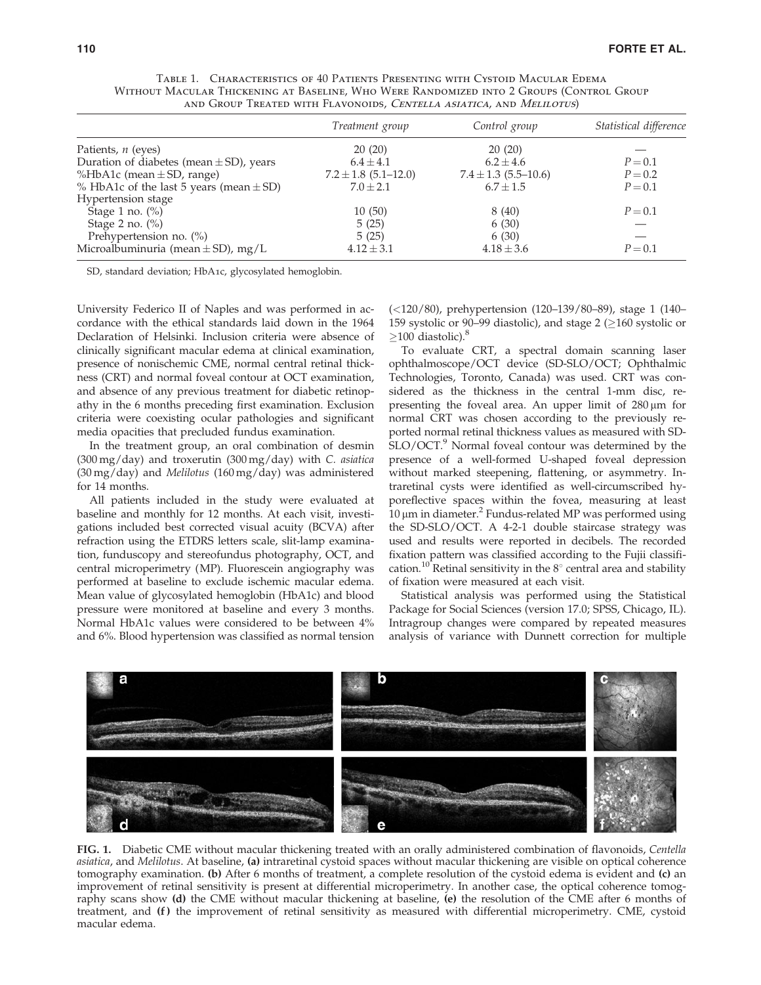| Treatment group | Control group                      | Statistical difference                                                                           |
|-----------------|------------------------------------|--------------------------------------------------------------------------------------------------|
| 20(20)          | 20(20)                             |                                                                                                  |
| $6.4 \pm 4.1$   | $6.2 \pm 4.6$                      | $P = 0.1$                                                                                        |
|                 |                                    | $P = 0.2$                                                                                        |
| $7.0 \pm 2.1$   | $6.7 \pm 1.5$                      | $P = 0.1$                                                                                        |
|                 |                                    |                                                                                                  |
|                 | 8(40)                              | $P = 0.1$                                                                                        |
| 5(25)           | 6(30)                              |                                                                                                  |
| 5(25)           | 6(30)                              |                                                                                                  |
| $4.12 \pm 3.1$  | $4.18 \pm 3.6$                     | $P = 0.1$                                                                                        |
|                 | $7.2 \pm 1.8$ (5.1–12.0)<br>10(50) | AND ONOUL TREATED WITH LEAVONOIDS, CENTELLA ASIATICA, AND MELILOTOS)<br>$7.4 \pm 1.3$ (5.5–10.6) |

Table 1. Characteristics of 40 Patients Presenting with Cystoid Macular Edema Without Macular Thickening at Baseline, Who Were Randomized into 2 Groups (Control Group and Group Treated with Flavonoids, Centella asiatica, and Melilotus)

SD, standard deviation; HbA1c, glycosylated hemoglobin.

University Federico II of Naples and was performed in accordance with the ethical standards laid down in the 1964 Declaration of Helsinki. Inclusion criteria were absence of clinically significant macular edema at clinical examination, presence of nonischemic CME, normal central retinal thickness (CRT) and normal foveal contour at OCT examination, and absence of any previous treatment for diabetic retinopathy in the 6 months preceding first examination. Exclusion criteria were coexisting ocular pathologies and significant media opacities that precluded fundus examination.

In the treatment group, an oral combination of desmin (300 mg/day) and troxerutin (300 mg/day) with C. asiatica (30 mg/day) and Melilotus (160 mg/day) was administered for 14 months.

All patients included in the study were evaluated at baseline and monthly for 12 months. At each visit, investigations included best corrected visual acuity (BCVA) after refraction using the ETDRS letters scale, slit-lamp examination, funduscopy and stereofundus photography, OCT, and central microperimetry (MP). Fluorescein angiography was performed at baseline to exclude ischemic macular edema. Mean value of glycosylated hemoglobin (HbA1c) and blood pressure were monitored at baseline and every 3 months. Normal HbA1c values were considered to be between 4% and 6%. Blood hypertension was classified as normal tension (<120/80), prehypertension (120–139/80–89), stage 1 (140– 159 systolic or 90–99 diastolic), and stage 2 ( $\geq$ 160 systolic or  $>100$  diastolic).<sup>8</sup>

To evaluate CRT, a spectral domain scanning laser ophthalmoscope/OCT device (SD-SLO/OCT; Ophthalmic Technologies, Toronto, Canada) was used. CRT was considered as the thickness in the central 1-mm disc, representing the foveal area. An upper limit of  $280 \,\mu m$  for normal CRT was chosen according to the previously reported normal retinal thickness values as measured with SD-SLO/OCT.<sup>9</sup> Normal foveal contour was determined by the presence of a well-formed U-shaped foveal depression without marked steepening, flattening, or asymmetry. Intraretinal cysts were identified as well-circumscribed hyporeflective spaces within the fovea, measuring at least 10  $\mu$ m in diameter.<sup>2</sup> Fundus-related MP was performed using the SD-SLO/OCT. A 4-2-1 double staircase strategy was used and results were reported in decibels. The recorded fixation pattern was classified according to the Fujii classification.<sup>10</sup> Retinal sensitivity in the  $8^\circ$  central area and stability of fixation were measured at each visit.

Statistical analysis was performed using the Statistical Package for Social Sciences (version 17.0; SPSS, Chicago, IL). Intragroup changes were compared by repeated measures analysis of variance with Dunnett correction for multiple



FIG. 1. Diabetic CME without macular thickening treated with an orally administered combination of flavonoids, Centella asiatica, and Melilotus. At baseline, (a) intraretinal cystoid spaces without macular thickening are visible on optical coherence tomography examination. (b) After 6 months of treatment, a complete resolution of the cystoid edema is evident and (c) an improvement of retinal sensitivity is present at differential microperimetry. In another case, the optical coherence tomography scans show (d) the CME without macular thickening at baseline, (e) the resolution of the CME after 6 months of treatment, and (f) the improvement of retinal sensitivity as measured with differential microperimetry. CME, cystoid macular edema.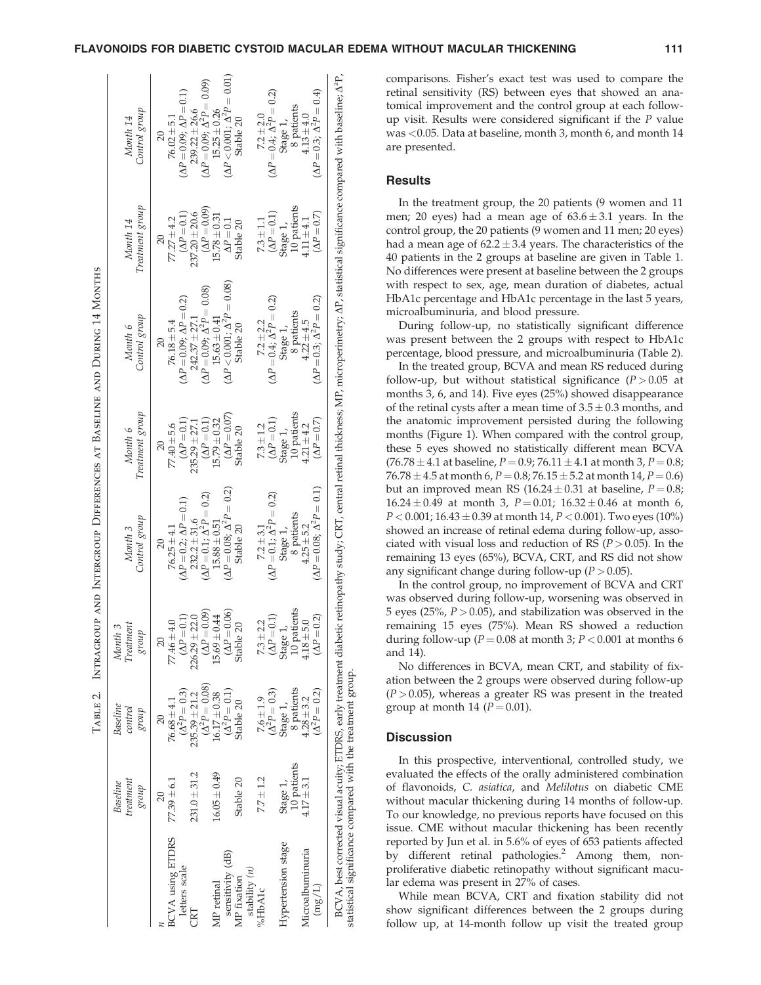# FLAVONOIDS FOR DIABETIC CYSTOID MACULAR EDEMA WITHOUT MACULAR THICKENING 111

|                         |                  |                       |                                  |                                       |                     | TABLE 2. INTRAGROUP AND INTERGROUP DIFFERENCES AT BASELINE AND DURING 14 MONTHS |                     |                                                                                                                                                                                                                   |
|-------------------------|------------------|-----------------------|----------------------------------|---------------------------------------|---------------------|---------------------------------------------------------------------------------|---------------------|-------------------------------------------------------------------------------------------------------------------------------------------------------------------------------------------------------------------|
|                         | Baseline         | Baseline              | Month 3                          |                                       |                     |                                                                                 |                     |                                                                                                                                                                                                                   |
|                         | treatment        | control               | $\label{eq:reatment} The at met$ | Month 3                               | Month 6             | Month 6                                                                         | Month 14            | Month 14                                                                                                                                                                                                          |
|                         | dnolS            | dnoi $\mathcal S$     | dnoi $\mathcal S$                | Control group                         | Treatment group     | Control group                                                                   | Treatment group     | Control group                                                                                                                                                                                                     |
|                         | $\overline{20}$  | $\overline{20}$       | $\overline{20}$                  | $\overline{20}$                       | $\overline{20}$     | $\overline{20}$                                                                 |                     | $\approx$                                                                                                                                                                                                         |
| <b>BCVA</b> using ETDRS | $77.39 \pm 6.1$  | $76.68 \pm 4.1$       | $77.46 \pm 4.0$                  | $76.25 \pm 4.1$                       | $77.40 \pm 5.6$     | $76.18 \pm 5.4$                                                                 | $77.27 \pm 4.2$     | $76.02 + 5.1$                                                                                                                                                                                                     |
| letters scale           |                  | $(\Delta^2 P = 0.3)$  | $(\Delta P = 0.1)$               | $(\Delta P = 0.2; \Delta P = 0.1)$    | $(\Delta P = 0.1)$  | $(\Delta P = 0.09; \, \Delta P = 0.2)$                                          | $(\Delta P = 0.1)$  | $(\Delta P = 0.09; \Delta P = 0.1)$                                                                                                                                                                               |
| CRT                     | $231.0 + 31.2$   | $235.39 \pm 21.2$     | $226.29 \pm 22.0$                | $232.2 \pm 31.6$                      | $235.29 \pm 27.1$   | $242.37 \pm 27.1$                                                               | $237.20 \pm 20.6$   | $239.22 \pm 26.6$                                                                                                                                                                                                 |
|                         |                  | $(\Delta^2 P = 0.08)$ | $(\Delta P = 0.09)$              | $(\Delta P = 0.1; \Delta^2 P = 0.2)$  | $(\Delta P = 0.1)$  | $(\Delta P = 0.09; \Delta^2 P = 0.08)$                                          | $(\Delta P = 0.09)$ | $(\Delta P = 0.09; \Delta^2 P = 0.09)$                                                                                                                                                                            |
| MP retinal              | $16.05 \pm 0.49$ | $16.17 \pm 0.38$      | $15.69 \pm 0.44$                 | $15.88 \pm 0.51$                      | $15.79 \pm 0.32$    | $15.63 \pm 0.41$                                                                | $5.78 \pm 0.31$     | $15.25 \pm 0.26$                                                                                                                                                                                                  |
| sensitivity (dB)        |                  | $(\Delta^2 P = 0.1)$  | $(\Delta P = 0.06)$              | $(\Delta P = 0.08; \Delta^2 P = 0.2)$ | $(\Delta P = 0.07)$ | $(\Delta P < 0.001; \, \Delta^2 P = 0.08)$                                      | $\Delta P = 0.1$    | $(\Delta P < 0.001; \Delta^2 P = 0.01)$                                                                                                                                                                           |
| MP fixation             | Stable 20        | Stable 20             | Stable 20                        | Stable 20                             | Stable 20           | Stable 20                                                                       | Stable 20           | Stable 20                                                                                                                                                                                                         |
| stability $(n)$         |                  |                       |                                  |                                       |                     |                                                                                 |                     |                                                                                                                                                                                                                   |
| %HbA1c                  | $7.7 \pm 1.2$    | $7.6 \pm 1.9$         | $7.3 + 2.2$                      | $7.2 \pm 3.1$                         | $7.3 \pm 1.2$       | $7.2 \pm 2.2$                                                                   | $7.3 \pm 1.1$       | $7.2 \pm 2.0$                                                                                                                                                                                                     |
|                         |                  | $(\Delta^2 P = 0.3)$  | $(\Delta P = 0.1)$               | $(\Delta P = 0.1; \Delta^2 P = 0.2)$  | $(\Delta P = 0.1)$  | $(\Delta P = 0.4; \Delta^2 P = 0.2)$                                            | $(\Delta P = 0.1)$  | $(\Delta P = 0.4; \Delta^2 P = 0.2)$                                                                                                                                                                              |
| Hypertension stage      | Stage 1,         | Stage 1,              | Stage 1,                         | Stage 1,                              | Stage 1,            | Stage 1,                                                                        | Stage 1,            | Stage 1,                                                                                                                                                                                                          |
|                         | 10 patients      | 8 patients            | 10 patients                      | 8 patients                            | 10 patients         | 8 patients                                                                      | 10 patients         | 8 patients                                                                                                                                                                                                        |
| Microalbuminuria        | $4.17 \pm 3.1$   | $4.28 \pm 3.2$        | $4.18 + 5.0$                     | $4.25 + 5.2$                          | $4.21 \pm 4.2$      | $4.22 \pm 4.5$                                                                  | $4.11 + 4.1$        | $4.13 \pm 4.0$                                                                                                                                                                                                    |
| $(\text{mg/L})$         |                  | $(\Delta^2 P = 0.2)$  | $(\Delta P = 0.2)$               | $(\Delta P = 0.08; \Delta^2 P = 0.1)$ | $(\Delta P = 0.7)$  | $(\Delta P = 0.3; \Delta^2 P = 0.2)$                                            | $(\Delta P = 0.7)$  | $(\Delta P = 0.3; \Delta^2 P = 0.4)$                                                                                                                                                                              |
|                         |                  |                       |                                  |                                       |                     |                                                                                 |                     | BCVA, best corrected visual acuity; ETDRS, early treatment diabetic retimopathy study; CRT, central retinal thickness; MP, microperimetry; AP, statistical significance compared with baseline; A <sup>2</sup> P, |

comparisons. Fisher's exact test was used to compare the retinal sensitivity (RS) between eyes that showed an anatomical improvement and the control group at each followup visit. Results were considered significant if the P value was <0.05. Data at baseline, month 3, month 6, and month 14 are presented.

#### **Results**

In the treatment group, the 20 patients (9 women and 11 men; 20 eyes) had a mean age of  $63.6 \pm 3.1$  years. In the control group, the 20 patients (9 women and 11 men; 20 eyes) had a mean age of  $62.2 \pm 3.4$  years. The characteristics of the 40 patients in the 2 groups at baseline are given in Table 1. No differences were present at baseline between the 2 groups with respect to sex, age, mean duration of diabetes, actual HbA1c percentage and HbA1c percentage in the last 5 years, microalbuminuria, and blood pressure.

During follow-up, no statistically significant difference was present between the 2 groups with respect to HbA1c percentage, blood pressure, and microalbuminuria (Table 2).

In the treated group, BCVA and mean RS reduced during follow-up, but without statistical significance  $(P > 0.05$  at months 3, 6, and 14). Five eyes (25%) showed disappearance of the retinal cysts after a mean time of  $3.5 \pm 0.3$  months, and the anatomic improvement persisted during the following months (Figure 1). When compared with the control group, these 5 eyes showed no statistically different mean BCVA  $(76.78 \pm 4.1 \text{ at baseline}, P = 0.9; 76.11 \pm 4.1 \text{ at month 3}, P = 0.8;$  $76.78\pm4.5$  at month 6,  $P$   $=$   $0.8$ ;  $76.15$   $\pm$   $5.2$  at month  $14$ ,  $P$   $=$   $0.6)$ but an improved mean RS (16.24 $\pm$ 0.31 at baseline, P=0.8;  $16.24 \pm 0.49$  at month 3,  $P = 0.01$ ;  $16.32 \pm 0.46$  at month 6,  $P$   $<$  0.001; 16.43  $\pm$  0.39 at month 14,  $P$   $<$  0.001). Two eyes (10%) showed an increase of retinal edema during follow-up, associated with visual loss and reduction of RS ( $P > 0.05$ ). In the remaining 13 eyes (65%), BCVA, CRT, and RS did not show any significant change during follow-up  $(P > 0.05)$ .

In the control group, no improvement of BCVA and CRT was observed during follow-up, worsening was observed in 5 eyes (25%,  $P > 0.05$ ), and stabilization was observed in the remaining 15 eyes (75%). Mean RS showed a reduction during follow-up ( $P = 0.08$  at month 3;  $P < 0.001$  at months 6 and 14).

No differences in BCVA, mean CRT, and stability of fixation between the 2 groups were observed during follow-up  $(P > 0.05)$ , whereas a greater RS was present in the treated group at month 14 ( $P = 0.01$ ).

## **Discussion**

statistical significance compared with the treatment group.

statistical significance compared with the treatment group

In this prospective, interventional, controlled study, we evaluated the effects of the orally administered combination of flavonoids, C. asiatica, and Melilotus on diabetic CME without macular thickening during 14 months of follow-up. To our knowledge, no previous reports have focused on this issue. CME without macular thickening has been recently reported by Jun et al. in 5.6% of eyes of 653 patients affected by different retinal pathologies.<sup>2</sup> Among them, nonproliferative diabetic retinopathy without significant macular edema was present in 27% of cases.

While mean BCVA, CRT and fixation stability did not show significant differences between the 2 groups during follow up, at 14-month follow up visit the treated group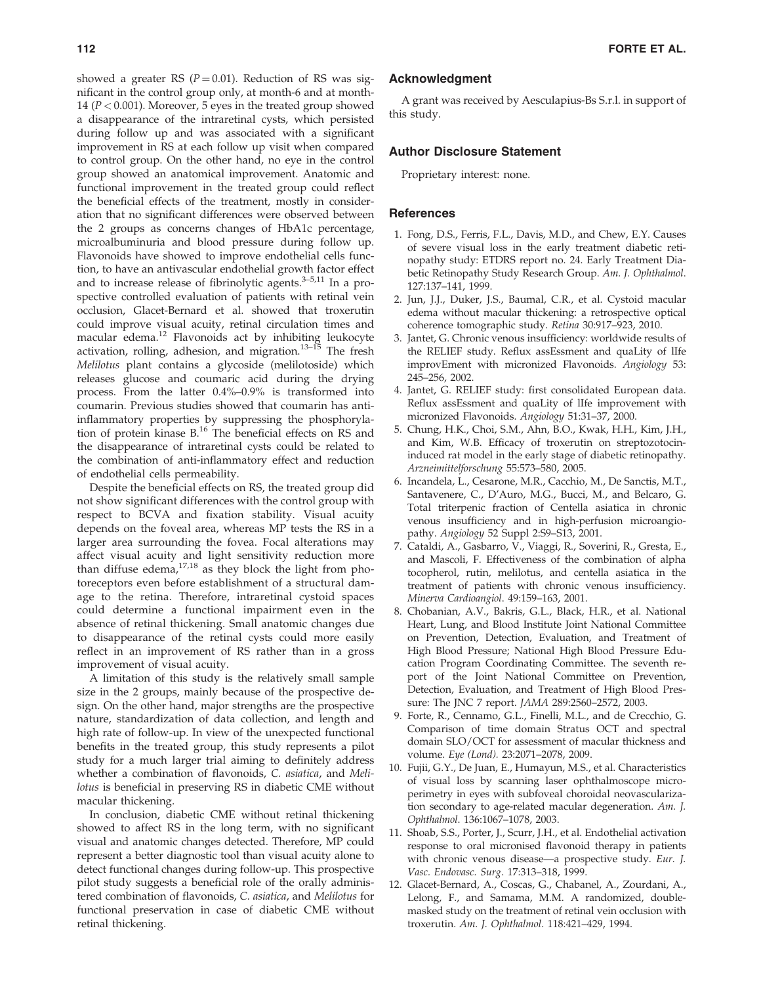showed a greater RS ( $P = 0.01$ ). Reduction of RS was significant in the control group only, at month-6 and at month-14 ( $P < 0.001$ ). Moreover, 5 eyes in the treated group showed a disappearance of the intraretinal cysts, which persisted during follow up and was associated with a significant improvement in RS at each follow up visit when compared to control group. On the other hand, no eye in the control group showed an anatomical improvement. Anatomic and functional improvement in the treated group could reflect the beneficial effects of the treatment, mostly in consideration that no significant differences were observed between the 2 groups as concerns changes of HbA1c percentage, microalbuminuria and blood pressure during follow up. Flavonoids have showed to improve endothelial cells function, to have an antivascular endothelial growth factor effect and to increase release of fibrinolytic agents. $3-5,11$  In a prospective controlled evaluation of patients with retinal vein occlusion, Glacet-Bernard et al. showed that troxerutin could improve visual acuity, retinal circulation times and macular edema.<sup>12</sup> Flavonoids act by inhibiting leukocyte activation, rolling, adhesion, and migration.<sup>13-15</sup> The fresh Melilotus plant contains a glycoside (melilotoside) which releases glucose and coumaric acid during the drying process. From the latter 0.4%–0.9% is transformed into coumarin. Previous studies showed that coumarin has antiinflammatory properties by suppressing the phosphorylation of protein kinase B.16 The beneficial effects on RS and the disappearance of intraretinal cysts could be related to the combination of anti-inflammatory effect and reduction of endothelial cells permeability.

Despite the beneficial effects on RS, the treated group did not show significant differences with the control group with respect to BCVA and fixation stability. Visual acuity depends on the foveal area, whereas MP tests the RS in a larger area surrounding the fovea. Focal alterations may affect visual acuity and light sensitivity reduction more than diffuse edema, $17,18$  as they block the light from photoreceptors even before establishment of a structural damage to the retina. Therefore, intraretinal cystoid spaces could determine a functional impairment even in the absence of retinal thickening. Small anatomic changes due to disappearance of the retinal cysts could more easily reflect in an improvement of RS rather than in a gross improvement of visual acuity.

A limitation of this study is the relatively small sample size in the 2 groups, mainly because of the prospective design. On the other hand, major strengths are the prospective nature, standardization of data collection, and length and high rate of follow-up. In view of the unexpected functional benefits in the treated group, this study represents a pilot study for a much larger trial aiming to definitely address whether a combination of flavonoids, C. asiatica, and Melilotus is beneficial in preserving RS in diabetic CME without macular thickening.

In conclusion, diabetic CME without retinal thickening showed to affect RS in the long term, with no significant visual and anatomic changes detected. Therefore, MP could represent a better diagnostic tool than visual acuity alone to detect functional changes during follow-up. This prospective pilot study suggests a beneficial role of the orally administered combination of flavonoids, C. asiatica, and Melilotus for functional preservation in case of diabetic CME without retinal thickening.

## Acknowledgment

A grant was received by Aesculapius-Bs S.r.l. in support of this study.

#### Author Disclosure Statement

Proprietary interest: none.

#### **References**

- 1. Fong, D.S., Ferris, F.L., Davis, M.D., and Chew, E.Y. Causes of severe visual loss in the early treatment diabetic retinopathy study: ETDRS report no. 24. Early Treatment Diabetic Retinopathy Study Research Group. Am. J. Ophthalmol. 127:137–141, 1999.
- 2. Jun, J.J., Duker, J.S., Baumal, C.R., et al. Cystoid macular edema without macular thickening: a retrospective optical coherence tomographic study. Retina 30:917–923, 2010.
- 3. Jantet, G. Chronic venous insufficiency: worldwide results of the RELIEF study. Reflux assEssment and quaLity of lIfe improvEment with micronized Flavonoids. Angiology 53: 245–256, 2002.
- 4. Jantet, G. RELIEF study: first consolidated European data. Reflux assEssment and quaLity of lIfe improvement with micronized Flavonoids. Angiology 51:31–37, 2000.
- 5. Chung, H.K., Choi, S.M., Ahn, B.O., Kwak, H.H., Kim, J.H., and Kim, W.B. Efficacy of troxerutin on streptozotocininduced rat model in the early stage of diabetic retinopathy. Arzneimittelforschung 55:573–580, 2005.
- 6. Incandela, L., Cesarone, M.R., Cacchio, M., De Sanctis, M.T., Santavenere, C., D'Auro, M.G., Bucci, M., and Belcaro, G. Total triterpenic fraction of Centella asiatica in chronic venous insufficiency and in high-perfusion microangiopathy. Angiology 52 Suppl 2:S9–S13, 2001.
- 7. Cataldi, A., Gasbarro, V., Viaggi, R., Soverini, R., Gresta, E., and Mascoli, F. Effectiveness of the combination of alpha tocopherol, rutin, melilotus, and centella asiatica in the treatment of patients with chronic venous insufficiency. Minerva Cardioangiol. 49:159–163, 2001.
- 8. Chobanian, A.V., Bakris, G.L., Black, H.R., et al. National Heart, Lung, and Blood Institute Joint National Committee on Prevention, Detection, Evaluation, and Treatment of High Blood Pressure; National High Blood Pressure Education Program Coordinating Committee. The seventh report of the Joint National Committee on Prevention, Detection, Evaluation, and Treatment of High Blood Pressure: The JNC 7 report. JAMA 289:2560–2572, 2003.
- 9. Forte, R., Cennamo, G.L., Finelli, M.L., and de Crecchio, G. Comparison of time domain Stratus OCT and spectral domain SLO/OCT for assessment of macular thickness and volume. Eye (Lond). 23:2071–2078, 2009.
- 10. Fujii, G.Y., De Juan, E., Humayun, M.S., et al. Characteristics of visual loss by scanning laser ophthalmoscope microperimetry in eyes with subfoveal choroidal neovascularization secondary to age-related macular degeneration. Am. J. Ophthalmol. 136:1067–1078, 2003.
- 11. Shoab, S.S., Porter, J., Scurr, J.H., et al. Endothelial activation response to oral micronised flavonoid therapy in patients with chronic venous disease—a prospective study. Eur. J. Vasc. Endovasc. Surg. 17:313–318, 1999.
- 12. Glacet-Bernard, A., Coscas, G., Chabanel, A., Zourdani, A., Lelong, F., and Samama, M.M. A randomized, doublemasked study on the treatment of retinal vein occlusion with troxerutin. Am. J. Ophthalmol. 118:421–429, 1994.